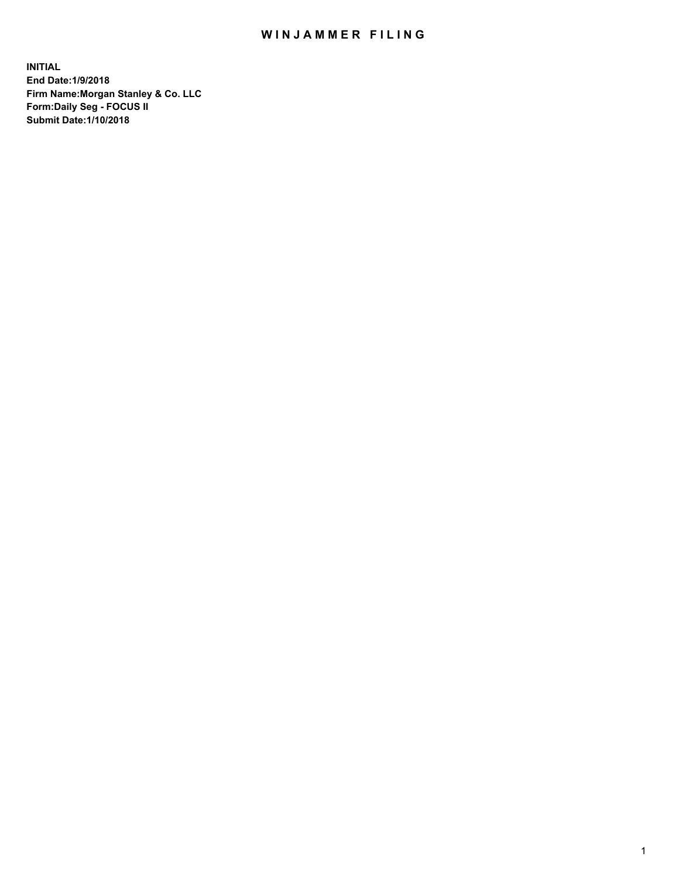## WIN JAMMER FILING

**INITIAL End Date:1/9/2018 Firm Name:Morgan Stanley & Co. LLC Form:Daily Seg - FOCUS II Submit Date:1/10/2018**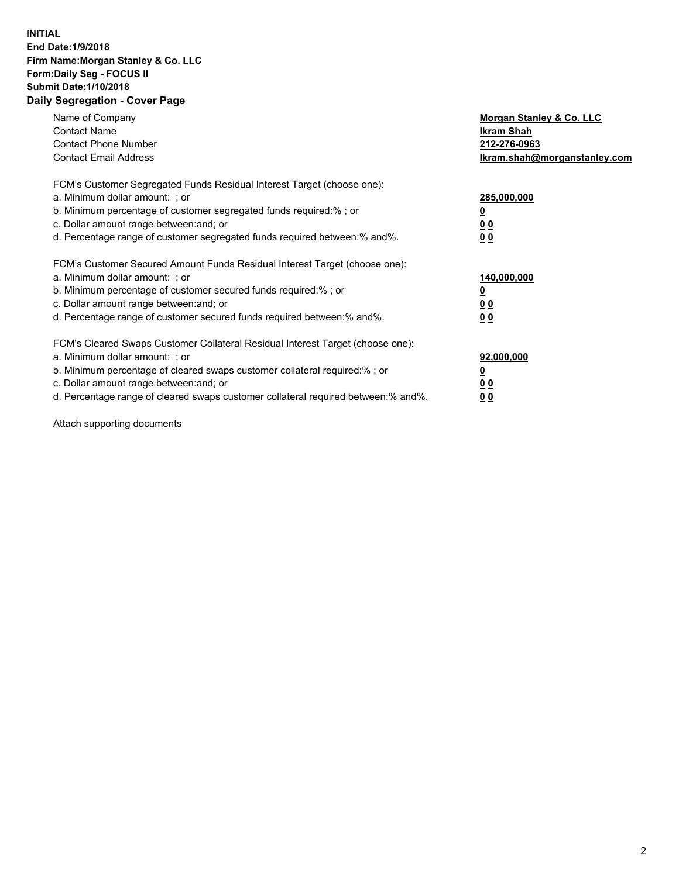## **INITIAL End Date:1/9/2018 Firm Name:Morgan Stanley & Co. LLC Form:Daily Seg - FOCUS II Submit Date:1/10/2018 Daily Segregation - Cover Page**

| Name of Company<br><b>Contact Name</b><br><b>Contact Phone Number</b><br><b>Contact Email Address</b>                                                                                                                                                                                                                         | Morgan Stanley & Co. LLC<br>Ikram Shah<br>212-276-0963<br>lkram.shah@morganstanley.com |
|-------------------------------------------------------------------------------------------------------------------------------------------------------------------------------------------------------------------------------------------------------------------------------------------------------------------------------|----------------------------------------------------------------------------------------|
| FCM's Customer Segregated Funds Residual Interest Target (choose one):<br>a. Minimum dollar amount: ; or<br>b. Minimum percentage of customer segregated funds required:%; or<br>c. Dollar amount range between: and; or<br>d. Percentage range of customer segregated funds required between:% and%.                         | 285,000,000<br>0 <sub>0</sub><br>00                                                    |
| FCM's Customer Secured Amount Funds Residual Interest Target (choose one):<br>a. Minimum dollar amount: ; or<br>b. Minimum percentage of customer secured funds required:%; or<br>c. Dollar amount range between: and; or<br>d. Percentage range of customer secured funds required between:% and%.                           | 140,000,000<br>0 <sub>0</sub><br>0 <sub>0</sub>                                        |
| FCM's Cleared Swaps Customer Collateral Residual Interest Target (choose one):<br>a. Minimum dollar amount: ; or<br>b. Minimum percentage of cleared swaps customer collateral required:%; or<br>c. Dollar amount range between: and; or<br>d. Percentage range of cleared swaps customer collateral required between:% and%. | 92,000,000<br>0 <sub>0</sub><br><u>00</u>                                              |

Attach supporting documents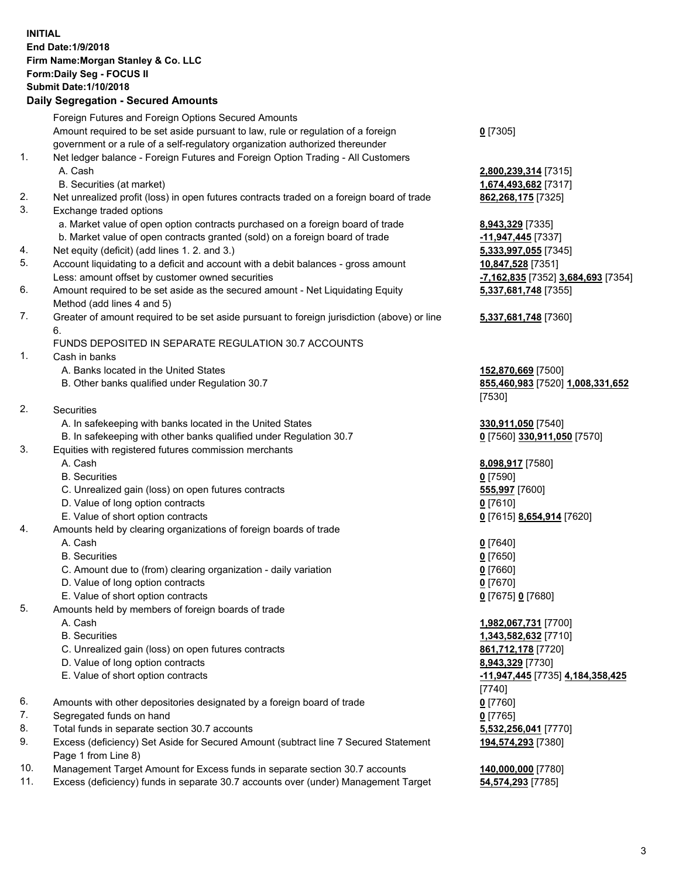## **INITIAL End Date:1/9/2018 Firm Name:Morgan Stanley & Co. LLC Form:Daily Seg - FOCUS II Submit Date:1/10/2018 Daily Segregation - Secured Amounts**

Foreign Futures and Foreign Options Secured Amounts Amount required to be set aside pursuant to law, rule or regulation of a foreign government or a rule of a self-regulatory organization authorized thereunder 1. Net ledger balance - Foreign Futures and Foreign Option Trading - All Customers A. Cash **2,800,239,314** [7315] B. Securities (at market) **1,674,493,682** [7317] 2. Net unrealized profit (loss) in open futures contracts traded on a foreign board of trade **862,268,175** [7325] 3. Exchange traded options a. Market value of open option contracts purchased on a foreign board of trade **8,943,329** [7335] b. Market value of open contracts granted (sold) on a foreign board of trade **-11,947,445** [7337] 4. Net equity (deficit) (add lines 1. 2. and 3.) **5,333,997,055** [7345] 5. Account liquidating to a deficit and account with a debit balances - gross amount **10,847,528** [7351] Less: amount offset by customer owned securities **-7,162,835** [7352] **3,684,693** [7354] 6. Amount required to be set aside as the secured amount - Net Liquidating Equity Method (add lines 4 and 5) 7. Greater of amount required to be set aside pursuant to foreign jurisdiction (above) or line 6. FUNDS DEPOSITED IN SEPARATE REGULATION 30.7 ACCOUNTS 1. Cash in banks A. Banks located in the United States **152,870,669** [7500] B. Other banks qualified under Regulation 30.7 **855,460,983** [7520] **1,008,331,652** [7530] 2. Securities A. In safekeeping with banks located in the United States **330,911,050** [7540] B. In safekeeping with other banks qualified under Regulation 30.7 **0** [7560] **330,911,050** [7570] 3. Equities with registered futures commission merchants A. Cash **8,098,917** [7580] B. Securities **0** [7590] C. Unrealized gain (loss) on open futures contracts **555,997** [7600] D. Value of long option contracts **0** [7610] E. Value of short option contracts **0** [7615] **8,654,914** [7620] 4. Amounts held by clearing organizations of foreign boards of trade A. Cash **0** [7640] B. Securities **0** [7650] C. Amount due to (from) clearing organization - daily variation **0** [7660] D. Value of long option contracts **0** [7670] E. Value of short option contracts **0** [7675] **0** [7680] 5. Amounts held by members of foreign boards of trade A. Cash **1,982,067,731** [7700] B. Securities **1,343,582,632** [7710] C. Unrealized gain (loss) on open futures contracts **861,712,178** [7720] D. Value of long option contracts **8,943,329** [7730] E. Value of short option contracts **-11,947,445** [7735] **4,184,358,425** [7740] 6. Amounts with other depositories designated by a foreign board of trade **0** [7760] 7. Segregated funds on hand **0** [7765] 8. Total funds in separate section 30.7 accounts **5,532,256,041** [7770] 9. Excess (deficiency) Set Aside for Secured Amount (subtract line 7 Secured Statement Page 1 from Line 8) 10. Management Target Amount for Excess funds in separate section 30.7 accounts **140,000,000** [7780]

- 
- 11. Excess (deficiency) funds in separate 30.7 accounts over (under) Management Target **54,574,293** [7785]

**0** [7305]

**5,337,681,748** [7355]

## **5,337,681,748** [7360]

**194,574,293** [7380]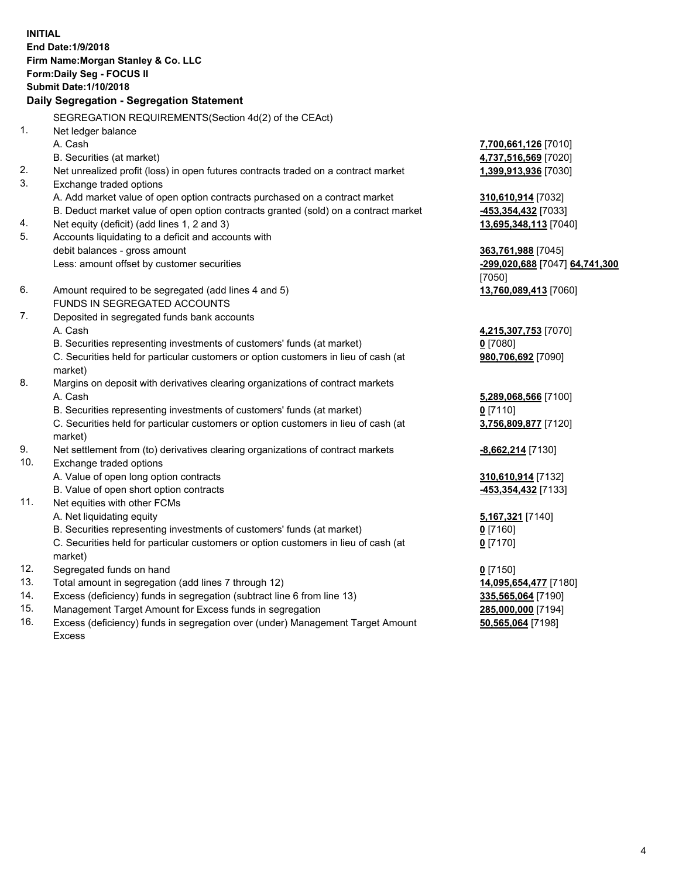**INITIAL End Date:1/9/2018 Firm Name:Morgan Stanley & Co. LLC Form:Daily Seg - FOCUS II Submit Date:1/10/2018 Daily Segregation - Segregation Statement** SEGREGATION REQUIREMENTS(Section 4d(2) of the CEAct) 1. Net ledger balance A. Cash **7,700,661,126** [7010] B. Securities (at market) **4,737,516,569** [7020] 2. Net unrealized profit (loss) in open futures contracts traded on a contract market **1,399,913,936** [7030] 3. Exchange traded options A. Add market value of open option contracts purchased on a contract market **310,610,914** [7032] B. Deduct market value of open option contracts granted (sold) on a contract market **-453,354,432** [7033] 4. Net equity (deficit) (add lines 1, 2 and 3) **13,695,348,113** [7040] 5. Accounts liquidating to a deficit and accounts with debit balances - gross amount **363,761,988** [7045] Less: amount offset by customer securities **-299,020,688** [7047] **64,741,300** [7050] 6. Amount required to be segregated (add lines 4 and 5) **13,760,089,413** [7060] FUNDS IN SEGREGATED ACCOUNTS 7. Deposited in segregated funds bank accounts A. Cash **4,215,307,753** [7070] B. Securities representing investments of customers' funds (at market) **0** [7080] C. Securities held for particular customers or option customers in lieu of cash (at market) **980,706,692** [7090] 8. Margins on deposit with derivatives clearing organizations of contract markets A. Cash **5,289,068,566** [7100] B. Securities representing investments of customers' funds (at market) **0** [7110] C. Securities held for particular customers or option customers in lieu of cash (at market) **3,756,809,877** [7120] 9. Net settlement from (to) derivatives clearing organizations of contract markets **-8,662,214** [7130] 10. Exchange traded options A. Value of open long option contracts **310,610,914** [7132] B. Value of open short option contracts **-453,354,432** [7133] 11. Net equities with other FCMs A. Net liquidating equity **5,167,321** [7140] B. Securities representing investments of customers' funds (at market) **0** [7160] C. Securities held for particular customers or option customers in lieu of cash (at market) **0** [7170] 12. Segregated funds on hand **0** [7150] 13. Total amount in segregation (add lines 7 through 12) **14,095,654,477** [7180] 14. Excess (deficiency) funds in segregation (subtract line 6 from line 13) **335,565,064** [7190]

- 15. Management Target Amount for Excess funds in segregation **285,000,000** [7194]
- 16. Excess (deficiency) funds in segregation over (under) Management Target Amount Excess

**50,565,064** [7198]